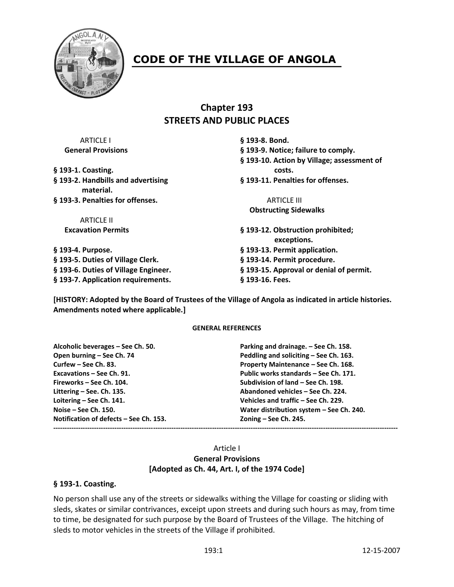

# **CODE OF THE VILLAGE OF ANGOLA**

# **Chapter 193 STREETS AND PUBLIC PLACES**

| § 193-8. Bond.                                   |
|--------------------------------------------------|
| § 193-9. Notice; failure to comply.              |
| § 193-10. Action by Village; assessment of       |
| costs.                                           |
| § 193-11. Penalties for offenses.                |
| <b>ARTICLE III</b>                               |
| <b>Obstructing Sidewalks</b>                     |
|                                                  |
| § 193-12. Obstruction prohibited;<br>exceptions. |
| § 193-13. Permit application.                    |
| § 193-14. Permit procedure.                      |
| § 193-15. Approval or denial of permit.          |
| § 193-16. Fees.                                  |
|                                                  |

**[HISTORY: Adopted by the Board of Trustees of the Village of Angola as indicated in article histories. Amendments noted where applicable.]**

#### **GENERAL REFERENCES**

**Alcoholic beverages – See Ch. 50. Parking and drainage. – See Ch. 158. Open burning – See Ch. 74 Peddling and soliciting – See Ch. 163. Curfew – See Ch. 83. Property Maintenance – See Ch. 168. Excavations – See Ch. 91. Public works standards – See Ch. 171. Fireworks – See Ch. 104. Subdivision of land – See Ch. 198. Littering – See. Ch. 135. Abandoned vehicles – See Ch. 224. Loitering – See Ch. 141. Vehicles and traffic – See Ch. 229. Notification of defects – See Ch. 153. Zoning – See Ch. 245. --------------------------------------------------------------------------------------------------------------------------------------------------------**

**Noise – See Ch. 150. Water distribution system – See Ch. 240.**

#### Article I **General Provisions [Adopted as Ch. 44, Art. I, of the 1974 Code]**

#### **§ 193-1. Coasting.**

No person shall use any of the streets or sidewalks withing the Village for coasting or sliding with sleds, skates or similar contrivances, exceipt upon streets and during such hours as may, from time to time, be designated for such purpose by the Board of Trustees of the Village. The hitching of sleds to motor vehicles in the streets of the Village if prohibited.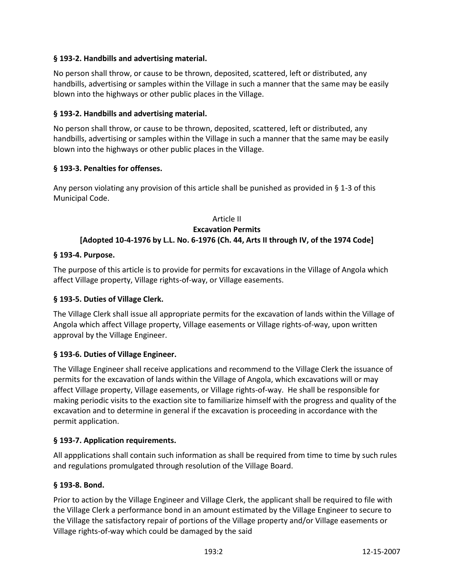### **§ 193-2. Handbills and advertising material.**

No person shall throw, or cause to be thrown, deposited, scattered, left or distributed, any handbills, advertising or samples within the Village in such a manner that the same may be easily blown into the highways or other public places in the Village.

#### **§ 193-2. Handbills and advertising material.**

No person shall throw, or cause to be thrown, deposited, scattered, left or distributed, any handbills, advertising or samples within the Village in such a manner that the same may be easily blown into the highways or other public places in the Village.

### **§ 193-3. Penalties for offenses.**

Any person violating any provision of this article shall be punished as provided in  $\S$  1-3 of this Municipal Code.

#### Article II **Excavation Permits [Adopted 10-4-1976 by L.L. No. 6-1976 (Ch. 44, Arts II through IV, of the 1974 Code]**

#### **§ 193-4. Purpose.**

The purpose of this article is to provide for permits for excavations in the Village of Angola which affect Village property, Village rights-of-way, or Village easements.

# **§ 193-5. Duties of Village Clerk.**

The Village Clerk shall issue all appropriate permits for the excavation of lands within the Village of Angola which affect Village property, Village easements or Village rights-of-way, upon written approval by the Village Engineer.

# **§ 193-6. Duties of Village Engineer.**

The Village Engineer shall receive applications and recommend to the Village Clerk the issuance of permits for the excavation of lands within the Village of Angola, which excavations will or may affect Village property, Village easements, or Village rights-of-way. He shall be responsible for making periodic visits to the exaction site to familiarize himself with the progress and quality of the excavation and to determine in general if the excavation is proceeding in accordance with the permit application.

#### **§ 193-7. Application requirements.**

All appplications shall contain such information as shall be required from time to time by such rules and regulations promulgated through resolution of the Village Board.

#### **§ 193-8. Bond.**

Prior to action by the Village Engineer and Village Clerk, the applicant shall be required to file with the Village Clerk a performance bond in an amount estimated by the Village Engineer to secure to the Village the satisfactory repair of portions of the Village property and/or Village easements or Village rights-of-way which could be damaged by the said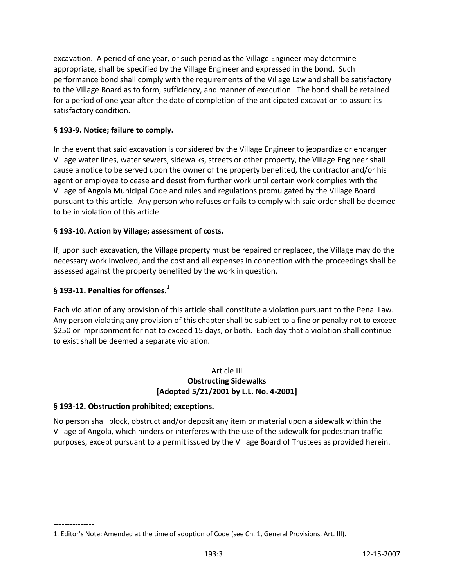excavation. A period of one year, or such period as the Village Engineer may determine appropriate, shall be specified by the Village Engineer and expressed in the bond. Such performance bond shall comply with the requirements of the Village Law and shall be satisfactory to the Village Board as to form, sufficiency, and manner of execution. The bond shall be retained for a period of one year after the date of completion of the anticipated excavation to assure its satisfactory condition.

# **§ 193-9. Notice; failure to comply.**

In the event that said excavation is considered by the Village Engineer to jeopardize or endanger Village water lines, water sewers, sidewalks, streets or other property, the Village Engineer shall cause a notice to be served upon the owner of the property benefited, the contractor and/or his agent or employee to cease and desist from further work until certain work complies with the Village of Angola Municipal Code and rules and regulations promulgated by the Village Board pursuant to this article. Any person who refuses or fails to comply with said order shall be deemed to be in violation of this article.

# **§ 193-10. Action by Village; assessment of costs.**

If, upon such excavation, the Village property must be repaired or replaced, the Village may do the necessary work involved, and the cost and all expenses in connection with the proceedings shall be assessed against the property benefited by the work in question.

# **§ 193-11. Penalties for offenses.<sup>1</sup>**

Each violation of any provision of this article shall constitute a violation pursuant to the Penal Law. Any person violating any provision of this chapter shall be subject to a fine or penalty not to exceed \$250 or imprisonment for not to exceed 15 days, or both. Each day that a violation shall continue to exist shall be deemed a separate violation.

### Article III **Obstructing Sidewalks [Adopted 5/21/2001 by L.L. No. 4-2001]**

# **§ 193-12. Obstruction prohibited; exceptions.**

No person shall block, obstruct and/or deposit any item or material upon a sidewalk within the Village of Angola, which hinders or interferes with the use of the sidewalk for pedestrian traffic purposes, except pursuant to a permit issued by the Village Board of Trustees as provided herein.

<sup>---------------</sup> 1. Editor's Note: Amended at the time of adoption of Code (see Ch. 1, General Provisions, Art. III).